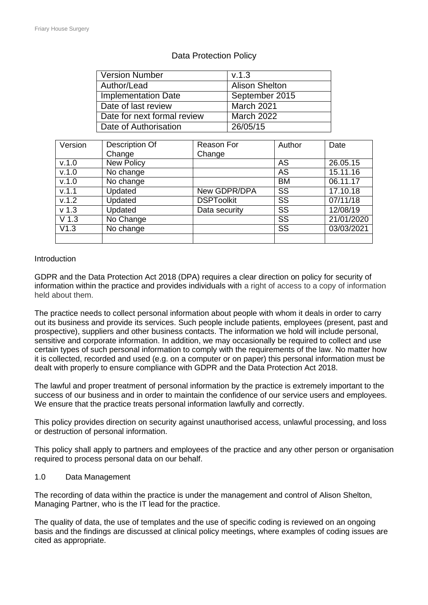| <b>Version Number</b>       | V.1.3                 |
|-----------------------------|-----------------------|
| Author/Lead                 | <b>Alison Shelton</b> |
| <b>Implementation Date</b>  | September 2015        |
| Date of last review         | March 2021            |
| Date for next formal review | <b>March 2022</b>     |
| Date of Authorisation       | 26/05/15              |

# Data Protection Policy

| Version          | Description Of          | <b>Reason For</b> | Author                 | Date       |
|------------------|-------------------------|-------------------|------------------------|------------|
|                  | Change                  | Change            |                        |            |
| V.1.0            | <b>New Policy</b>       |                   | AS                     | 26.05.15   |
| V.1.0            | No change               |                   | AS                     | 15.11.16   |
| V.1.0            | No change               |                   | <b>BM</b>              | 06.11.17   |
| v.1.1            | Updated                 | New GDPR/DPA      | SS                     | 17.10.18   |
| v.1.2            | Updated                 | <b>DSPToolkit</b> | $\overline{\text{SS}}$ | 07/11/18   |
| v <sub>1.3</sub> | Updated                 | Data security     | $\overline{\text{SS}}$ | 12/08/19   |
| V <sub>1.3</sub> | No Change               |                   | SS                     | 21/01/2020 |
| V1.3             | $\overline{N}$ o change |                   | $\overline{\text{SS}}$ | 03/03/2021 |
|                  |                         |                   |                        |            |

# Introduction

GDPR and the Data Protection Act 2018 (DPA) requires a clear direction on policy for security of information within the practice and provides individuals with a right of access to a copy of information held about them.

The practice needs to collect personal information about people with whom it deals in order to carry out its business and provide its services. Such people include patients, employees (present, past and prospective), suppliers and other business contacts. The information we hold will include personal, sensitive and corporate information. In addition, we may occasionally be required to collect and use certain types of such personal information to comply with the requirements of the law. No matter how it is collected, recorded and used (e.g. on a computer or on paper) this personal information must be dealt with properly to ensure compliance with GDPR and the Data Protection Act 2018.

The lawful and proper treatment of personal information by the practice is extremely important to the success of our business and in order to maintain the confidence of our service users and employees. We ensure that the practice treats personal information lawfully and correctly.

This policy provides direction on security against unauthorised access, unlawful processing, and loss or destruction of personal information.

This policy shall apply to partners and employees of the practice and any other person or organisation required to process personal data on our behalf.

## 1.0 Data Management

The recording of data within the practice is under the management and control of Alison Shelton, Managing Partner, who is the IT lead for the practice.

The quality of data, the use of templates and the use of specific coding is reviewed on an ongoing basis and the findings are discussed at clinical policy meetings, where examples of coding issues are cited as appropriate.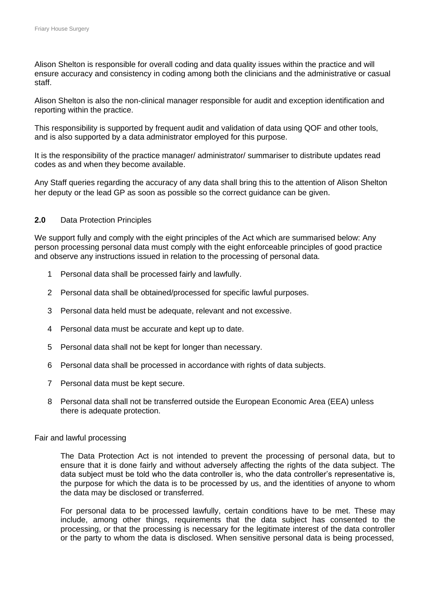Alison Shelton is responsible for overall coding and data quality issues within the practice and will ensure accuracy and consistency in coding among both the clinicians and the administrative or casual staff.

Alison Shelton is also the non-clinical manager responsible for audit and exception identification and reporting within the practice.

This responsibility is supported by frequent audit and validation of data using QOF and other tools, and is also supported by a data administrator employed for this purpose.

It is the responsibility of the practice manager/ administrator/ summariser to distribute updates read codes as and when they become available.

Any Staff queries regarding the accuracy of any data shall bring this to the attention of Alison Shelton her deputy or the lead GP as soon as possible so the correct guidance can be given.

# **2.0** Data Protection Principles

We support fully and comply with the eight principles of the Act which are summarised below: Any person processing personal data must comply with the eight enforceable principles of good practice and observe any instructions issued in relation to the processing of personal data.

- 1 Personal data shall be processed fairly and lawfully.
- 2 Personal data shall be obtained/processed for specific lawful purposes.
- 3 Personal data held must be adequate, relevant and not excessive.
- 4 Personal data must be accurate and kept up to date.
- 5 Personal data shall not be kept for longer than necessary.
- 6 Personal data shall be processed in accordance with rights of data subjects.
- 7 Personal data must be kept secure.
- 8 Personal data shall not be transferred outside the European Economic Area (EEA) unless there is adequate protection.

### Fair and lawful processing

The Data Protection Act is not intended to prevent the processing of personal data, but to ensure that it is done fairly and without adversely affecting the rights of the data subject. The data subject must be told who the data controller is, who the data controller's representative is, the purpose for which the data is to be processed by us, and the identities of anyone to whom the data may be disclosed or transferred.

For personal data to be processed lawfully, certain conditions have to be met. These may include, among other things, requirements that the data subject has consented to the processing, or that the processing is necessary for the legitimate interest of the data controller or the party to whom the data is disclosed. When sensitive personal data is being processed,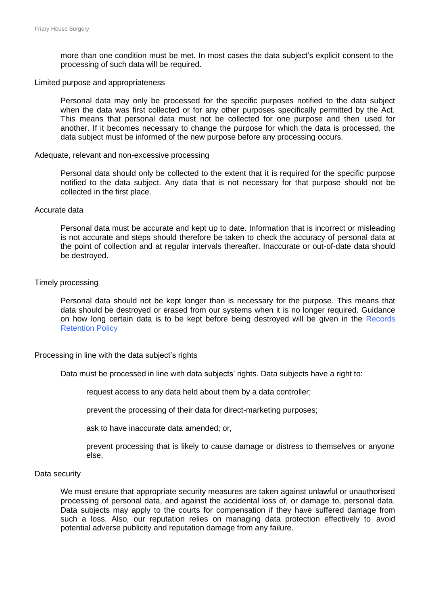more than one condition must be met. In most cases the data subject's explicit consent to the processing of such data will be required.

#### Limited purpose and appropriateness

Personal data may only be processed for the specific purposes notified to the data subject when the data was first collected or for any other purposes specifically permitted by the Act. This means that personal data must not be collected for one purpose and then used for another. If it becomes necessary to change the purpose for which the data is processed, the data subject must be informed of the new purpose before any processing occurs.

#### Adequate, relevant and non-excessive processing

Personal data should only be collected to the extent that it is required for the specific purpose notified to the data subject. Any data that is not necessary for that purpose should not be collected in the first place.

#### Accurate data

Personal data must be accurate and kept up to date. Information that is incorrect or misleading is not accurate and steps should therefore be taken to check the accuracy of personal data at the point of collection and at regular intervals thereafter. Inaccurate or out-of-date data should be destroyed.

### Timely processing

Personal data should not be kept longer than is necessary for the purpose. This means that data should be destroyed or erased from our systems when it is no longer required. Guidance on how long certain data is to be kept before being destroyed will be given in the Records Retention Policy

### Processing in line with the data subject's rights

Data must be processed in line with data subjects' rights. Data subjects have a right to:

request access to any data held about them by a data controller;

prevent the processing of their data for direct-marketing purposes;

ask to have inaccurate data amended; or,

prevent processing that is likely to cause damage or distress to themselves or anyone else.

#### Data security

We must ensure that appropriate security measures are taken against unlawful or unauthorised processing of personal data, and against the accidental loss of, or damage to, personal data. Data subjects may apply to the courts for compensation if they have suffered damage from such a loss. Also, our reputation relies on managing data protection effectively to avoid potential adverse publicity and reputation damage from any failure.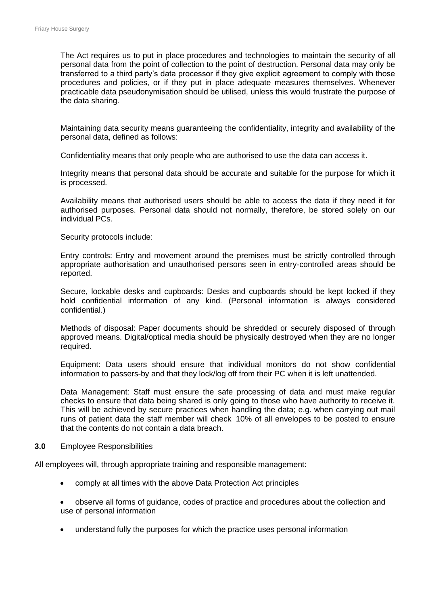The Act requires us to put in place procedures and technologies to maintain the security of all personal data from the point of collection to the point of destruction. Personal data may only be transferred to a third party's data processor if they give explicit agreement to comply with those procedures and policies, or if they put in place adequate measures themselves. Whenever practicable data pseudonymisation should be utilised, unless this would frustrate the purpose of the data sharing.

Maintaining data security means guaranteeing the confidentiality, integrity and availability of the personal data, defined as follows:

Confidentiality means that only people who are authorised to use the data can access it.

Integrity means that personal data should be accurate and suitable for the purpose for which it is processed.

Availability means that authorised users should be able to access the data if they need it for authorised purposes. Personal data should not normally, therefore, be stored solely on our individual PCs.

Security protocols include:

Entry controls: Entry and movement around the premises must be strictly controlled through appropriate authorisation and unauthorised persons seen in entry-controlled areas should be reported.

Secure, lockable desks and cupboards: Desks and cupboards should be kept locked if they hold confidential information of any kind. (Personal information is always considered confidential.)

Methods of disposal: Paper documents should be shredded or securely disposed of through approved means. Digital/optical media should be physically destroyed when they are no longer required.

Equipment: Data users should ensure that individual monitors do not show confidential information to passers-by and that they lock/log off from their PC when it is left unattended.

Data Management: Staff must ensure the safe processing of data and must make regular checks to ensure that data being shared is only going to those who have authority to receive it. This will be achieved by secure practices when handling the data; e.g. when carrying out mail runs of patient data the staff member will check 10% of all envelopes to be posted to ensure that the contents do not contain a data breach.

# **3.0** Employee Responsibilities

All employees will, through appropriate training and responsible management:

- comply at all times with the above Data Protection Act principles
- observe all forms of guidance, codes of practice and procedures about the collection and use of personal information
- understand fully the purposes for which the practice uses personal information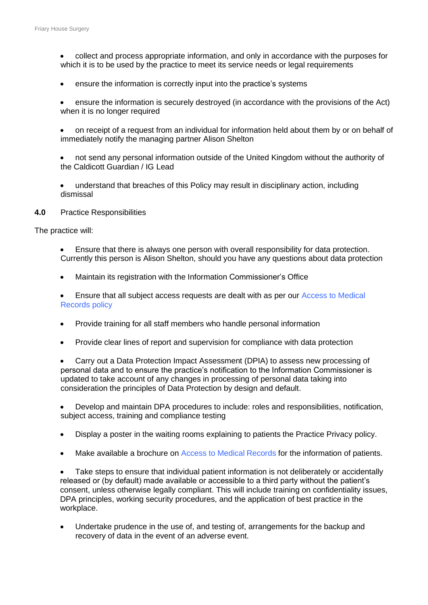- collect and process appropriate information, and only in accordance with the purposes for which it is to be used by the practice to meet its service needs or legal requirements
- ensure the information is correctly input into the practice's systems
- ensure the information is securely destroyed (in accordance with the provisions of the Act) when it is no longer required
- on receipt of a request from an individual for information held about them by or on behalf of immediately notify the managing partner Alison Shelton
- not send any personal information outside of the United Kingdom without the authority of the Caldicott Guardian / IG Lead
- understand that breaches of this Policy may result in disciplinary action, including dismissal
- **4.0** Practice Responsibilities

The practice will:

- Ensure that there is always one person with overall responsibility for data protection. Currently this person is Alison Shelton, should you have any questions about data protection
- Maintain its registration with the Information Commissioner's Office
- Ensure that all subject access requests are dealt with as per our Access to Medical Records policy
- Provide training for all staff members who handle personal information
- Provide clear lines of report and supervision for compliance with data protection

• Carry out a Data Protection Impact Assessment (DPIA) to assess new processing of personal data and to ensure the practice's notification to the Information Commissioner is updated to take account of any changes in processing of personal data taking into consideration the principles of Data Protection by design and default.

• Develop and maintain DPA procedures to include: roles and responsibilities, notification, subject access, training and compliance testing

- Display a poster in the waiting rooms explaining to patients the Practice Privacy policy.
- Make available a brochure on Access to Medical [Records](https://practiceindex.co.uk/gp/forum/resources/internal-communication-policy.1008/) for the information of patients.

• Take steps to ensure that individual patient information is not deliberately or accidentally released or (by default) made available or accessible to a third party without the patient's consent, unless otherwise legally compliant. This will include training on confidentiality issues, DPA principles, working security procedures, and the application of best practice in the workplace.

Undertake prudence in the use of, and testing of, arrangements for the backup and recovery of data in the event of an adverse event.